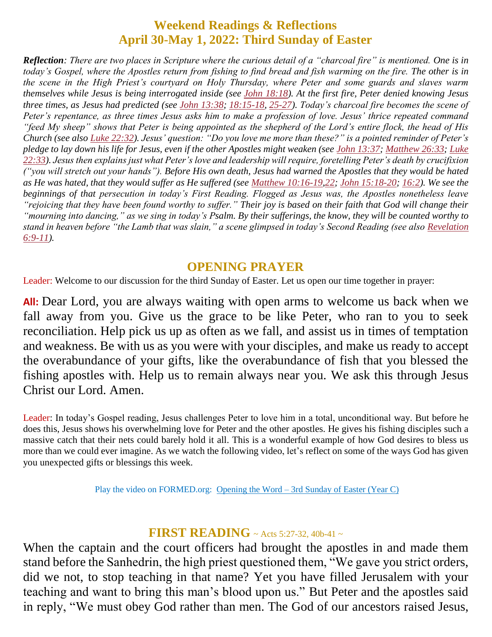# **Weekend Readings & Reflections April 30-May 1, 2022: Third Sunday of Easter**

*Reflection: There are two places in Scripture where the curious detail of a "charcoal fire" is mentioned. One is in today's Gospel, where the Apostles return from fishing to find bread and fish warming on the fire. The other is in the scene in the High Priest's courtyard on Holy Thursday, where Peter and some guards and slaves warm themselves while Jesus is being interrogated inside (see John [18:18\)](https://biblia.com/bible/rsvce/John%2018.18). At the first fire, Peter denied knowing Jesus three times, as Jesus had predicted (see John [13:38;](https://biblia.com/bible/rsvce/John%2013.38) [18:15-18,](https://biblia.com/bible/rsvce/John%2018.15-18) [25-27\)](https://biblia.com/bible/rsvce/John%2018.25-27). Today's charcoal fire becomes the scene of Peter's repentance, as three times Jesus asks him to make a profession of love. Jesus' thrice repeated command "feed My sheep" shows that Peter is being appointed as the shepherd of the Lord's entire flock, the head of His Church (see also Luke [22:32\)](https://biblia.com/bible/rsvce/Luke%2022.32). Jesus' question: "Do you love me more than these?" is a pointed reminder of Peter's pledge to lay down his life for Jesus, even if the other Apostles might weaken (see John [13:37;](https://biblia.com/bible/rsvce/John%2013.37) [Matthew](https://biblia.com/bible/rsvce/Matt%2026.33) 26:33; [Luke](https://biblia.com/bible/rsvce/Luke%2022.33) [22:33\)](https://biblia.com/bible/rsvce/Luke%2022.33). Jesus then explains just what Peter's love and leadership will require, foretelling Peter's death by crucifixion ("you will stretch out your hands"). Before His own death, Jesus had warned the Apostles that they would be hated as He was hated, that they would suffer as He suffered (see Matthew [10:16-19](https://biblia.com/bible/rsvce/Matt%2010.16-19)[,22;](https://biblia.com/bible/rsvce/Matthew%2010.22) John [15:18-20;](https://biblia.com/bible/rsvce/John%2015.18-20) [16:2\)](https://biblia.com/bible/rsvce/John%2016.2). We see the beginnings of that persecution in today's First Reading. Flogged as Jesus was, the Apostles nonetheless leave "rejoicing that they have been found worthy to suffer." Their joy is based on their faith that God will change their "mourning into dancing," as we sing in today's Psalm. By their sufferings, the know, they will be counted worthy to stand in heaven before "the Lamb that was slain," a scene glimpsed in today's Second Reading (see also [Revelation](https://biblia.com/bible/rsvce/Rev%206.9-11) [6:9-11\)](https://biblia.com/bible/rsvce/Rev%206.9-11).*

## **OPENING PRAYER**

Leader: Welcome to our discussion for the third Sunday of Easter. Let us open our time together in prayer:

**All:** Dear Lord, you are always waiting with open arms to welcome us back when we fall away from you. Give us the grace to be like Peter, who ran to you to seek reconciliation. Help pick us up as often as we fall, and assist us in times of temptation and weakness. Be with us as you were with your disciples, and make us ready to accept the overabundance of your gifts, like the overabundance of fish that you blessed the fishing apostles with. Help us to remain always near you. We ask this through Jesus Christ our Lord. Amen.

Leader: In today's Gospel reading, Jesus challenges Peter to love him in a total, unconditional way. But before he does this, Jesus shows his overwhelming love for Peter and the other apostles. He gives his fishing disciples such a massive catch that their nets could barely hold it all. This is a wonderful example of how God desires to bless us more than we could ever imagine. As we watch the following video, let's reflect on some of the ways God has given you unexpected gifts or blessings this week.

Play the video on FORMED.org: Opening the Word – [3rd Sunday of Easter](https://watch.formed.org/opening-the-word-1/season:3/videos/3rd-sunday-of-easter-may-5-2019) (Year C)

# **FIRST READING** ~ Acts 5:27-32, 40b-41 ~

When the captain and the court officers had brought the apostles in and made them stand before the Sanhedrin, the high priest questioned them, "We gave you strict orders, did we not, to stop teaching in that name? Yet you have filled Jerusalem with your teaching and want to bring this man's blood upon us." But Peter and the apostles said in reply, "We must obey God rather than men. The God of our ancestors raised Jesus,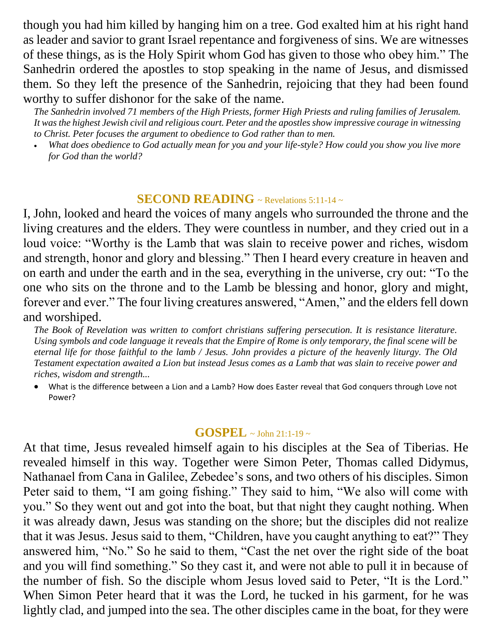though you had him killed by hanging him on a tree. God exalted him at his right hand as leader and savior to grant Israel repentance and forgiveness of sins. We are witnesses of these things, as is the Holy Spirit whom God has given to those who obey him." The Sanhedrin ordered the apostles to stop speaking in the name of Jesus, and dismissed them. So they left the presence of the Sanhedrin, rejoicing that they had been found worthy to suffer dishonor for the sake of the name.

*The Sanhedrin involved 71 members of the High Priests, former High Priests and ruling families of Jerusalem. It was the highest Jewish civil and religious court. Peter and the apostles show impressive courage in witnessing to Christ. Peter focuses the argument to obedience to God rather than to men.* 

 *What does obedience to God actually mean for you and your life-style? How could you show you live more for God than the world?*

#### **SECOND READING** ~ Revelations 5:11-14 ~

I, John, looked and heard the voices of many angels who surrounded the throne and the living creatures and the elders. They were countless in number, and they cried out in a loud voice: "Worthy is the Lamb that was slain to receive power and riches, wisdom and strength, honor and glory and blessing." Then I heard every creature in heaven and on earth and under the earth and in the sea, everything in the universe, cry out: "To the one who sits on the throne and to the Lamb be blessing and honor, glory and might, forever and ever." The four living creatures answered, "Amen," and the elders fell down and worshiped.

*The Book of Revelation was written to comfort christians suffering persecution. It is resistance literature. Using symbols and code language it reveals that the Empire of Rome is only temporary, the final scene will be eternal life for those faithful to the lamb / Jesus. John provides a picture of the heavenly liturgy. The Old Testament expectation awaited a Lion but instead Jesus comes as a Lamb that was slain to receive power and riches, wisdom and strength...*

 What is the difference between a Lion and a Lamb? How does Easter reveal that God conquers through Love not Power?

## **GOSPEL** ~ John 21:1-19 <sup>~</sup>

At that time, Jesus revealed himself again to his disciples at the Sea of Tiberias. He revealed himself in this way. Together were Simon Peter, Thomas called Didymus, Nathanael from Cana in Galilee, Zebedee's sons, and two others of his disciples. Simon Peter said to them, "I am going fishing." They said to him, "We also will come with you." So they went out and got into the boat, but that night they caught nothing. When it was already dawn, Jesus was standing on the shore; but the disciples did not realize that it was Jesus. Jesus said to them, "Children, have you caught anything to eat?" They answered him, "No." So he said to them, "Cast the net over the right side of the boat and you will find something." So they cast it, and were not able to pull it in because of the number of fish. So the disciple whom Jesus loved said to Peter, "It is the Lord." When Simon Peter heard that it was the Lord, he tucked in his garment, for he was lightly clad, and jumped into the sea. The other disciples came in the boat, for they were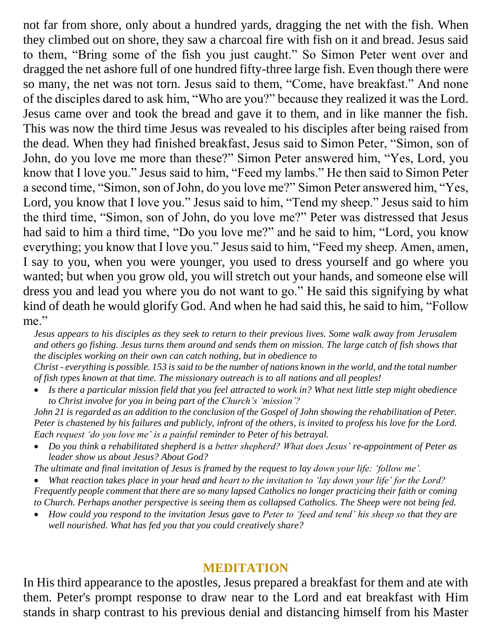not far from shore, only about a hundred yards, dragging the net with the fish. When they climbed out on shore, they saw a charcoal fire with fish on it and bread. Jesus said to them, "Bring some of the fish you just caught." So Simon Peter went over and dragged the net ashore full of one hundred fifty-three large fish. Even though there were so many, the net was not torn. Jesus said to them, "Come, have breakfast." And none of the disciples dared to ask him, "Who are you?" because they realized it was the Lord. Jesus came over and took the bread and gave it to them, and in like manner the fish. This was now the third time Jesus was revealed to his disciples after being raised from the dead. When they had finished breakfast, Jesus said to Simon Peter, "Simon, son of John, do you love me more than these?" Simon Peter answered him, "Yes, Lord, you know that I love you." Jesus said to him, "Feed my lambs." He then said to Simon Peter a second time, "Simon, son of John, do you love me?" Simon Peter answered him, "Yes, Lord, you know that I love you." Jesus said to him, "Tend my sheep." Jesus said to him the third time, "Simon, son of John, do you love me?" Peter was distressed that Jesus had said to him a third time, "Do you love me?" and he said to him, "Lord, you know everything; you know that I love you." Jesus said to him, "Feed my sheep. Amen, amen, I say to you, when you were younger, you used to dress yourself and go where you wanted; but when you grow old, you will stretch out your hands, and someone else will dress you and lead you where you do not want to go." He said this signifying by what kind of death he would glorify God. And when he had said this, he said to him, "Follow me."

*Jesus appears to his disciples as they seek to return to their previous lives. Some walk away from Jerusalem and others go fishing. Jesus turns them around and sends them on mission. The large catch of fish shows that the disciples working on their own can catch nothing, but in obedience to*

*Christ - everything is possible. 153 is said to be the number of nations known in the world, and the total number of fish types known at that time. The missionary outreach is to all nations and all peoples!* 

 *Is there a particular mission field that you feel attracted to work in? What next little step might obedience to Christ involve for you in being part of the Church's ʻmission'?*

*John 21 is regarded as an addition to the conclusion of the Gospel of John showing the rehabilitation of Peter. Peter is chastened by his failures and publicly, infront of the others, is invited to profess his love for the Lord. Each request ʻdo you love me' is a painful reminder to Peter of his betrayal.* 

 *Do you think a rehabilitated shepherd is a better shepherd? What does Jesus' re-appointment of Peter as leader show us about Jesus? About God?*

*The ultimate and final invitation of Jesus is framed by the request to lay down your life: ʻfollow me'.* 

 *What reaction takes place in your head and heart to the invitation to ʻlay down your life' for the Lord? Frequently people comment that there are so many lapsed Catholics no longer practicing their faith or coming to Church. Perhaps another perspective is seeing them as collapsed Catholics. The Sheep were not being fed.* 

 *How could you respond to the invitation Jesus gave to Peter to 'feed and tend' his sheep so that they are well nourished. What has fed you that you could creatively share?*

## **MEDITATION**

In His third appearance to the apostles, Jesus prepared a breakfast for them and ate with them. Peter's prompt response to draw near to the Lord and eat breakfast with Him stands in sharp contrast to his previous denial and distancing himself from his Master